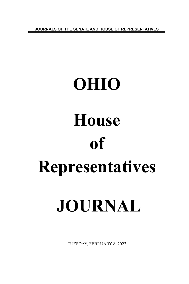**JOURNALS OF THE SENATE AND HOUSE OF REPRESENTATIVES**

# **OHIO House of Representatives JOURNAL**

TUESDAY, FEBRUARY 8, 2022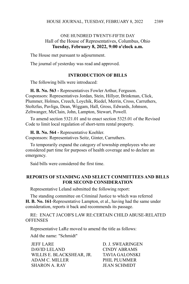### ONE HUNDRED TWENTY-FIFTH DAY Hall of the House of Representatives, Columbus, Ohio **Tuesday, February 8, 2022, 9:00 o'clock a.m.**

The House met pursuant to adjournment.

The journal of yesterday was read and approved.

#### **INTRODUCTION OF BILLS**

The following bills were introduced:

**H. B. No. 563 -** Representatives Fowler Arthur, Ferguson. Cosponsors: Representatives Jordan, Stein, Hillyer, Brinkman, Click, Plummer, Holmes, Creech, Loychik, Riedel, Merrin, Cross, Carruthers, Stoltzfus, Pavliga, Dean, Wiggam, Hall, Gross, Edwards, Johnson, Zeltwanger, McClain, John, Lampton, Stewart, Powell.

To amend section 5321.01 and to enact section 5325.01 of the Revised Code to limit local regulation of short-term rental property.

**H. B. No. 564 -** Representative Koehler.

Cosponsors: Representatives Seitz, Ginter, Carruthers.

To temporarily expand the category of township employees who are considered part time for purposes of health coverage and to declare an emergency.

Said bills were considered the first time.

#### **REPORTS OF STANDING AND SELECT COMMITTEES AND BILLS FOR SECOND CONSIDERATION**

Representative Leland submitted the following report:

The standing committee on Criminal Justice to which was referred **H. B. No. 161**-Representative Lampton, et al., having had the same under consideration, reports it back and recommends its passage.

RE: ENACT JACOB'S LAW RE:CERTAIN CHILD ABUSE-RELATED **OFFENSES** 

Representative LaRe moved to amend the title as follows:

Add the name: "Schmidt"

JEFF LARE D. J. SWEARINGEN DAVID LELAND CINDY ABRAMS WILLIS E. BLACKSHEAR, JR. TAVIA GALONSKI ADAM C. MILLER PHIL PLUMMER SHARON A. RAY JEAN SCHMIDT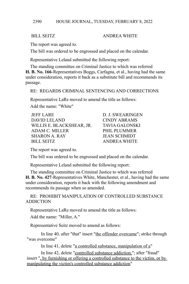#### BILL SEITZ ANDREA WHITE

The report was agreed to.

The bill was ordered to be engrossed and placed on the calendar.

Representative Leland submitted the following report:

The standing committee on Criminal Justice to which was referred **H. B. No. 166**-Representatives Boggs, Carfagna, et al., having had the same under consideration, reports it back as a substitute bill and recommends its passage.

RE: REGARDS CRIMINAL SENTENCING AND CORRECTIONS

Representative LaRe moved to amend the title as follows:

Add the name: "White"

| <b>JEFF LARE</b>          | D. J. SWEARINGEN    |
|---------------------------|---------------------|
| DAVID LELAND              | CINDY ABRAMS        |
| WILLIS E. BLACKSHEAR, JR. | TAVIA GALONSKI      |
| ADAM C. MILLER            | PHIL PLUMMER        |
| <b>SHARON A. RAY</b>      | <b>JEAN SCHMIDT</b> |
| <b>BILL SEITZ</b>         | <b>ANDREA WHITE</b> |

The report was agreed to.

The bill was ordered to be engrossed and placed on the calendar.

Representative Leland submitted the following report:

The standing committee on Criminal Justice to which was referred **H. B. No. 427**-Representatives White, Manchester, et al., having had the same under consideration, reports it back with the following amendment and recommends its passage when so amended.

RE: PROHIBIT MANIPULATION OF CONTROLLED SUBSTANCE ADDICTION

Representative LaRe moved to amend the title as follows:

Add the name: "Miller, A."

Representative Seitz moved to amend as follows:

In line 40, after "that" insert "the offender overcame"; strike through "was overcome"

In line 41, delete "a controlled substance, manipulation of a"

In line 42, delete "controlled substance addiction,"; after "fraud" insert ", by furnishing or offering a controlled substance to the victim, or by manipulating the victim's controlled substance addiction"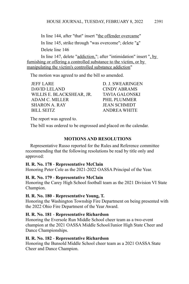In line 144, after "that" insert "the offender overcame" In line 145, strike through "was overcome"; delete "a" Delete line 146

In line 147, delete "addiction,"; after "intimidation" insert ", by furnishing or offering a controlled substance to the victim, or by manipulating the victim's controlled substance addiction"

The motion was agreed to and the bill so amended.

JEFF LARE D. J. SWEARINGEN DAVID LELAND CINDY ABRAMS WILLIS E. BLACKSHEAR, JR. TAVIA GALONSKI ADAM C. MILLER PHIL PLUMMER SHARON A. RAY JEAN SCHMIDT BILL SEITZ ANDREA WHITE

The report was agreed to.

The bill was ordered to be engrossed and placed on the calendar.

# **MOTIONS AND RESOLUTIONS**

Representative Russo reported for the Rules and Reference committee recommending that the following resolutions be read by title only and approved:

# **H. R. No. 178** - **Representative McClain**

Honoring Peter Cole as the 2021-2022 OASSA Principal of the Year.

# **H. R. No. 179** - **Representative McClain**

Honoring the Carey High School football team as the 2021 Division VI State Champion.

# **H. R. No. 180** - **Representative Young, T.**

Honoring the Washington Township Fire Department on being presented with the 2022 Ohio Fire Department of the Year Award.

# **H. R. No. 181** - **Representative Richardson**

Honoring the Eversole Run Middle School cheer team as a two-event champion at the 2021 OASSA Middle School/Junior High State Cheer and Dance Championships.

# **H. R. No. 182** - **Representative Richardson**

Honoring the Bunsold Middle School cheer team as a 2021 OASSA State Cheer and Dance Champion.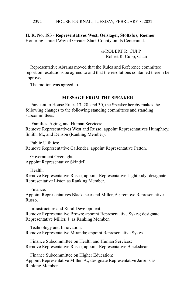#### HOUSE JOURNAL, TUESDAY, FEBRUARY 8, 2022 2392

**H. R. No. 183** - **Representatives West, Oelslager, Stoltzfus, Roemer** Honoring United Way of Greater Stark County on its Centennial.

> /s/ROBERT R. CUPP Robert R. Cupp, Chair

Representative Abrams moved that the Rules and Reference committee report on resolutions be agreed to and that the resolutions contained therein be approved.

The motion was agreed to.

#### **MESSAGE FROM THE SPEAKER**

Pursuant to House Rules 13, 28, and 30, the Speaker hereby makes the following changes to the following standing committees and standing subcommittees:

Families, Aging, and Human Services:

Remove Representatives West and Russo; appoint Representatives Humphrey, Smith, M., and Denson (Ranking Member).

Public Utilities:

Remove Representative Callender; appoint Representative Patton.

Government Oversight: Appoint Representative Skindell.

Health:

Remove Representative Russo; appoint Representative Lightbody; designate Representative Liston as Ranking Member.

Finance:

Appoint Representatives Blackshear and Miller, A.; remove Representative Russo.

Infrastructure and Rural Development: Remove Representative Brown; appoint Representative Sykes; designate Representative Miller, J. as Ranking Member.

Technology and Innovation: Remove Representative Miranda; appoint Representative Sykes.

Finance Subcommittee on Health and Human Services: Remove Representative Russo; appoint Representative Blackshear.

Finance Subcommittee on Higher Education: Appoint Representative Miller, A.; designate Representative Jarrells as Ranking Member.